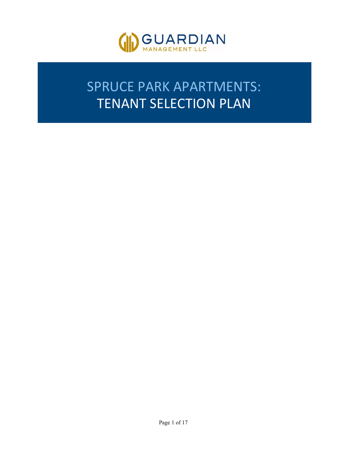

# SPRUCE PARK APARTMENTS: TENANT SELECTION PLAN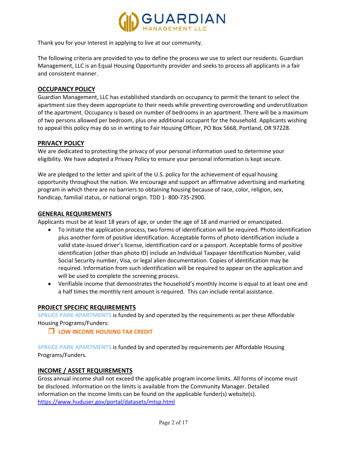

Thank you for your interest in applying to live at our community.

The following criteria are provided to you to define the process we use to select our residents. Guardian Management, LLC is an Equal Housing Opportunity provider and seeks to process all applicants in a fair and consistent manner.

## **OCCUPANCY POLICY**

Guardian Management, LLC has established standards on occupancy to permit the tenant to select the apartment size they deem appropriate to their needs while preventing overcrowding and underutilization of the apartment. Occupancy is based on number of bedrooms in an apartment. There will be a maximum of two persons allowed per bedroom, plus one additional occupant for the household. Applicants wishing to appeal this policy may do so in writing to Fair Housing Officer, PO Box 5668, Portland, OR 97228.

#### **PRIVACY POLICY**

We are dedicated to protecting the privacy of your personal information used to determine your eligibility. We have adopted a Privacy Policy to ensure your personal information is kept secure.

We are pledged to the letter and spirit of the U.S. policy for the achievement of equal housing opportunity throughout the nation. We encourage and support an affirmative advertising and marketing program in which there are no barriers to obtaining housing because of race, color, religion, sex, handicap, familial status, or national origin. TDD 1- 800-735-2900.

## **GENERAL REQUIREMENTS**

Applicants must be at least 18 years of age, or under the age of 18 and married or emancipated.

- To initiate the application process, two forms of identification will be required. Photo identification plus another form of positive identification. Acceptable forms of photo identification include a valid state-issued driver's license, identification card or a passport. Acceptable forms of positive identification (other than photo ID) include an Individual Taxpayer Identification Number, valid Social Security number, Visa, or legal alien documentation. Copies of identification may be required. Information from such identification will be required to appear on the application and will be used to complete the screening process.
- Verifiable income that demonstrates the household's monthly income is equal to at least one and a half times the monthly rent amount is required. This can include rental assistance.

#### **PROJECT SPECIFIC REQUIREMENTS**

**SPRUCE PARK APARTMENTS** is funded by and operated by the requirements as per these Affordable Housing Programs/Funders:

#### **LOW INCOME HOUSING TAX CREDIT**

**SPRUCE PARK APARTMENTS** is funded by and operated by requirements per Affordable Housing Programs/Funders.

#### **INCOME / ASSET REQUIREMENTS**

Gross annual income shall not exceed the applicable program income limits. All forms of income must be disclosed. Information on the limits is available from the Community Manager. Detailed information on the income limits can be found on the applicable funder(s) website(s). <https://www.huduser.gov/portal/datasets/mtsp.html>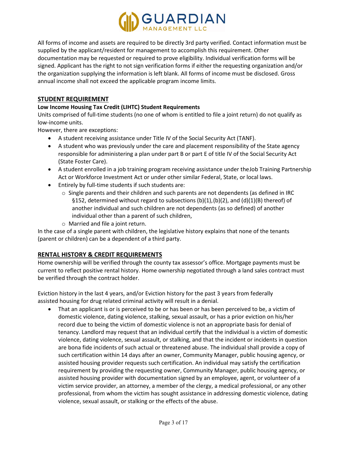

All forms of income and assets are required to be directly 3rd party verified. Contact information must be supplied by the applicant/resident for management to accomplish this requirement. Other documentation may be requested or required to prove eligibility. Individual verification forms will be signed. Applicant has the right to not sign verification forms if either the requesting organization and/or the organization supplying the information is left blank. All forms of income must be disclosed. Gross annual income shall not exceed the applicable program income limits.

# **STUDENT REQUIREMENT**

#### **Low Income Housing Tax Credit (LIHTC) Student Requirements**

Units comprised of full-time students (no one of whom is entitled to file a joint return) do not qualify as low-income units.

However, there are exceptions:

- A student receiving assistance under Title IV of the Social Security Act (TANF).
- A student who was previously under the care and placement responsibility of the State agency responsible for administering a plan under part B or part E of title IV of the Social Security Act (State Foster Care).
- A student enrolled in a job training program receiving assistance under theJob Training Partnership Act or Workforce Investment Act or under other similar Federal, State, or local laws.
- Entirely by full-time students if such students are:
	- $\circ$  Single parents and their children and such parents are not dependents (as defined in IRC §152, determined without regard to subsections  $(b)(1),(b)(2)$ , and  $(d)(1)(B)$  thereof) of another individual and such children are not dependents (as so defined) of another individual other than a parent of such children,
	- o Married and file a joint return.

In the case of a single parent with children, the legislative history explains that none of the tenants (parent or children) can be a dependent of a third party.

# **RENTAL HISTORY & CREDIT REQUIREMENTS**

Home ownership will be verified through the county tax assessor's office. Mortgage payments must be current to reflect positive rental history. Home ownership negotiated through a land sales contract must be verified through the contract holder.

Eviction history in the last 4 years, and/or Eviction history for the past 3 years from federally assisted housing for drug related criminal activity will result in a denial.

• That an applicant is or is perceived to be or has been or has been perceived to be, a victim of domestic violence, dating violence, stalking, sexual assault, or has a prior eviction on his/her record due to being the victim of domestic violence is not an appropriate basis for denial of tenancy. Landlord may request that an individual certify that the individual is a victim of domestic violence, dating violence, sexual assault, or stalking, and that the incident or incidents in question are bona fide incidents of such actual or threatened abuse. The individual shall provide a copy of such certification within 14 days after an owner, Community Manager, public housing agency, or assisted housing provider requests such certification. An individual may satisfy the certification requirement by providing the requesting owner, Community Manager, public housing agency, or assisted housing provider with documentation signed by an employee, agent, or volunteer of a victim service provider, an attorney, a member of the clergy, a medical professional, or any other professional, from whom the victim has sought assistance in addressing domestic violence, dating violence, sexual assault, or stalking or the effects of the abuse.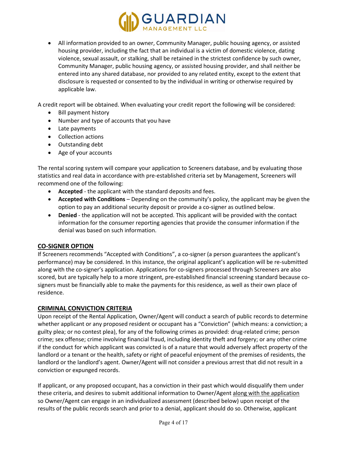

• All information provided to an owner, Community Manager, public housing agency, or assisted housing provider, including the fact that an individual is a victim of domestic violence, dating violence, sexual assault, or stalking, shall be retained in the strictest confidence by such owner, Community Manager, public housing agency, or assisted housing provider, and shall neither be entered into any shared database, nor provided to any related entity, except to the extent that disclosure is requested or consented to by the individual in writing or otherwise required by applicable law.

A credit report will be obtained. When evaluating your credit report the following will be considered:

- Bill payment history
- Number and type of accounts that you have
- Late payments
- Collection actions
- Outstanding debt
- Age of your accounts

The rental scoring system will compare your application to Screeners database, and by evaluating those statistics and real data in accordance with pre-established criteria set by Management, Screeners will recommend one of the following:

- **Accepted** the applicant with the standard deposits and fees.
- **Accepted with Conditions** Depending on the community's policy, the applicant may be given the option to pay an additional security deposit or provide a co-signer as outlined below.
- **Denied**  the application will not be accepted. This applicant will be provided with the contact information for the consumer reporting agencies that provide the consumer information if the denial was based on such information.

#### **CO-SIGNER OPTION**

If Screeners recommends "Accepted with Conditions", a co-signer (a person guarantees the applicant's performance) may be considered. In this instance, the original applicant's application will be re-submitted along with the co-signer's application. Applications for co-signers processed through Screeners are also scored, but are typically help to a more stringent, pre-established financial screening standard because cosigners must be financially able to make the payments for this residence, as well as their own place of residence.

# **CRIMINAL CONVICTION CRITERIA**

Upon receipt of the Rental Application, Owner/Agent will conduct a search of public records to determine whether applicant or any proposed resident or occupant has a "Conviction" (which means: a conviction; a guilty plea; or no contest plea), for any of the following crimes as provided: drug-related crime; person crime; sex offense; crime involving financial fraud, including identity theft and forgery; or any other crime if the conduct for which applicant was convicted is of a nature that would adversely affect property of the landlord or a tenant or the health, safety or right of peaceful enjoyment of the premises of residents, the landlord or the landlord's agent. Owner/Agent will not consider a previous arrest that did not result in a conviction or expunged records.

If applicant, or any proposed occupant, has a conviction in their past which would disqualify them under these criteria, and desires to submit additional information to Owner/Agent along with the application so Owner/Agent can engage in an individualized assessment (described below) upon receipt of the results of the public records search and prior to a denial, applicant should do so. Otherwise, applicant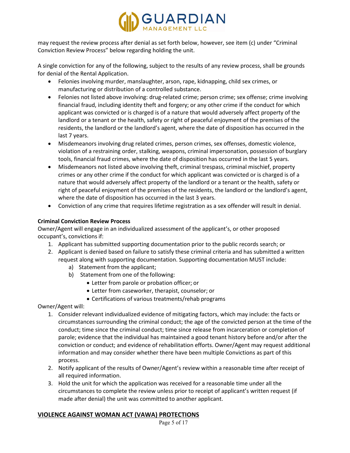

may request the review process after denial as set forth below, however, see item (c) under "Criminal Conviction Review Process" below regarding holding the unit.

A single conviction for any of the following, subject to the results of any review process, shall be grounds for denial of the Rental Application.

- Felonies involving murder, manslaughter, arson, rape, kidnapping, child sex crimes, or manufacturing or distribution of a controlled substance.
- Felonies not listed above involving: drug-related crime; person crime; sex offense; crime involving financial fraud, including identity theft and forgery; or any other crime if the conduct for which applicant was convicted or is charged is of a nature that would adversely affect property of the landlord or a tenant or the health, safety or right of peaceful enjoyment of the premises of the residents, the landlord or the landlord's agent, where the date of disposition has occurred in the last 7 years.
- Misdemeanors involving drug related crimes, person crimes, sex offenses, domestic violence, violation of a restraining order, stalking, weapons, criminal impersonation, possession of burglary tools, financial fraud crimes, where the date of disposition has occurred in the last 5 years.
- Misdemeanors not listed above involving theft, criminal trespass, criminal mischief, property crimes or any other crime if the conduct for which applicant was convicted or is charged is of a nature that would adversely affect property of the landlord or a tenant or the health, safety or right of peaceful enjoyment of the premises of the residents, the landlord or the landlord's agent, where the date of disposition has occurred in the last 3 years.
- Conviction of any crime that requires lifetime registration as a sex offender will result in denial.

# **Criminal Conviction Review Process**

Owner/Agent will engage in an individualized assessment of the applicant's, or other proposed occupant's, convictions if:

- 1. Applicant has submitted supporting documentation prior to the public records search; or
- 2. Applicant is denied based on failure to satisfy these criminal criteria and has submitted a written request along with supporting documentation. Supporting documentation MUST include:
	- a) Statement from the applicant;
	- b) Statement from one of the following:
		- Letter from parole or probation officer; or
		- Letter from caseworker, therapist, counselor; or
		- Certifications of various treatments/rehab programs

Owner/Agent will:

- 1. Consider relevant individualized evidence of mitigating factors, which may include: the facts or circumstances surrounding the criminal conduct; the age of the convicted person at the time of the conduct; time since the criminal conduct; time since release from incarceration or completion of parole; evidence that the individual has maintained a good tenant history before and/or after the conviction or conduct; and evidence of rehabilitation efforts. Owner/Agent may request additional information and may consider whether there have been multiple Convictions as part of this process.
- 2. Notify applicant of the results of Owner/Agent's review within a reasonable time after receipt of all required information.
- 3. Hold the unit for which the application was received for a reasonable time under all the circumstances to complete the review unless prior to receipt of applicant's written request (if made after denial) the unit was committed to another applicant.

# **VIOLENCE AGAINST WOMAN ACT (VAWA) PROTECTIONS**

Page 5 of 17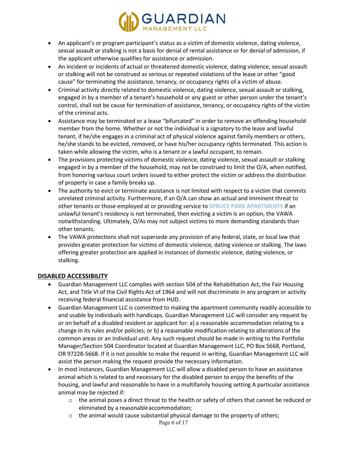

- An applicant's or program participant's status as a victim of domestic violence, dating violence, sexual assault or stalking is not a basis for denial of rental assistance or for denial of admission, if the applicant otherwise qualifies for assistance or admission.
- An incident or incidents of actual or threatened domestic violence, dating violence, sexual assault or stalking will not be construed as serious or repeated violations of the lease or other "good cause" for terminating the assistance, tenancy, or occupancy rights of a victim of abuse.
- Criminal activity directly related to domestic violence, dating violence, sexual assault or stalking, engaged in by a member of a tenant's household or any guest or other person under the tenant's control, shall not be cause for termination of assistance, tenancy, or occupancy rights of the victim of the criminal acts.
- Assistance may be terminated or a lease "bifurcated" in order to remove an offending household member from the home. Whether or not the individual is a signatory to the lease and lawful tenant, if he/she engages in a criminal act of physical violence against family members or others, he/she stands to be evicted, removed, or have his/her occupancy rights terminated. This action is taken while allowing the victim, who is a tenant or a lawful occupant, to remain.
- The provisions protecting victims of domestic violence, dating violence, sexual assault or stalking engaged in by a member of the household, may not be construed to limit the O/A, when notified, from honoring various court orders issued to either protect the victim or address the distribution of property in case a family breaks up.
- The authority to evict or terminate assistance is not limited with respect to a victim that commits unrelated criminal activity. Furthermore, if an O/A can show an actual and imminent threat to other tenants or those employed at or providing service to **SPRUCE PARK APARTMENTS** if an unlawful tenant's residency is not terminated, then evicting a victim is an option, the VAWA notwithstanding. Ultimately, O/As may not subject victims to more demanding standards than other tenants.
- The VAWA protections shall not supersede any provision of any federal, state, or local law that provides greater protection for victims of domestic violence, dating violence or stalking. The laws offering greater protection are applied in instances of domestic violence, dating violence, or stalking.

# **DISABLED ACCESSIBILITY**

- Guardian Management LLC complies with section 504 of the Rehabilitation Act, the Fair Housing Act, and Title VI of the Civil Rights Act of 1964 and will not discriminate in any program or activity receiving federal financial assistance from HUD.
- Guardian Management LLC is committed to making the apartment community readily accessible to and usable by individuals with handicaps. Guardian Management LLC will consider any request by or on behalf of a disabled resident or applicant for: a) a reasonable accommodation relating to a change in its rules and/or policies; or b) a reasonable modification relating to alterations of the common areas or an individual unit. Any such request should be made in writing to the Portfolio Manager/Section 504 Coordinator located at Guardian Management LLC, PO Box 5668, Portland, OR 97228-5668. If it is not possible to make the request in writing, Guardian Management LLC will assist the person making the request provide the necessary information.
- In most instances, Guardian Management LLC will allow a disabled person to have an assistance animal which is related to and necessary for the disabled person to enjoy the benefits of the housing, and lawful and reasonable to have in a multifamily housing setting A particular assistance animal may be rejected if:
	- o the animal poses a direct threat to the health or safety of others that cannot be reduced or eliminated by a reasonableaccommodation;
	- o the animal would cause substantial physical damage to the property of others;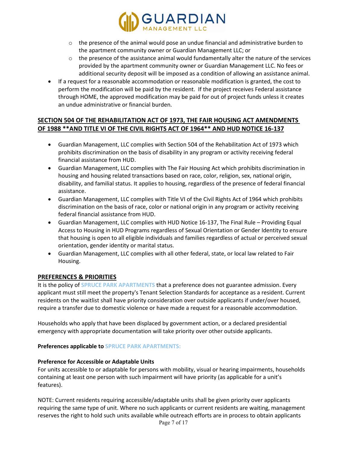

- $\circ$  the presence of the animal would pose an undue financial and administrative burden to the apartment community owner or Guardian Management LLC; or
- $\circ$  the presence of the assistance animal would fundamentally alter the nature of the services provided by the apartment community owner or Guardian Management LLC. No fees or additional security deposit will be imposed as a condition of allowing an assistance animal.
- If a request for a reasonable accommodation or reasonable modification is granted, the cost to perform the modification will be paid by the resident. If the project receives Federal assistance through HOME, the approved modification may be paid for out of project funds unless it creates an undue administrative or financial burden.

# **SECTION 504 OF THE REHABILITATION ACT OF 1973, THE FAIR HOUSING ACT AMENDMENTS OF 1988 \*\*AND TITLE VI OF THE CIVIL RIGHTS ACT OF 1964\*\* AND HUD NOTICE 16-137**

- Guardian Management, LLC complies with Section 504 of the Rehabilitation Act of 1973 which prohibits discrimination on the basis of disability in any program or activity receiving federal financial assistance from HUD.
- Guardian Management, LLC complies with The Fair Housing Act which prohibits discrimination in housing and housing related transactions based on race, color, religion, sex, national origin, disability, and familial status. It applies to housing, regardless of the presence of federal financial assistance.
- Guardian Management, LLC complies with Title VI of the Civil Rights Act of 1964 which prohibits discrimination on the basis of race, color or national origin in any program or activity receiving federal financial assistance from HUD.
- Guardian Management, LLC complies with HUD Notice 16-137, The Final Rule Providing Equal Access to Housing in HUD Programs regardless of Sexual Orientation or Gender Identity to ensure that housing is open to all eligible individuals and families regardless of actual or perceived sexual orientation, gender identity or marital status.
- Guardian Management, LLC complies with all other federal, state, or local law related to Fair Housing.

# **PREFERENCES & PRIORITIES**

It is the policy of **SPRUCE PARK APARTMENTS** that a preference does not guarantee admission. Every applicant must still meet the property's Tenant Selection Standards for acceptance as a resident. Current residents on the waitlist shall have priority consideration over outside applicants if under/over housed, require a transfer due to domestic violence or have made a request for a reasonable accommodation.

Households who apply that have been displaced by government action, or a declared presidential emergency with appropriate documentation will take priority over other outside applicants.

# **Preferences applicable to SPRUCE PARK APARTMENTS:**

# **Preference for Accessible or Adaptable Units**

For units accessible to or adaptable for persons with mobility, visual or hearing impairments, households containing at least one person with such impairment will have priority (as applicable for a unit's features).

NOTE: Current residents requiring accessible/adaptable units shall be given priority over applicants requiring the same type of unit. Where no such applicants or current residents are waiting, management reserves the right to hold such units available while outreach efforts are in process to obtain applicants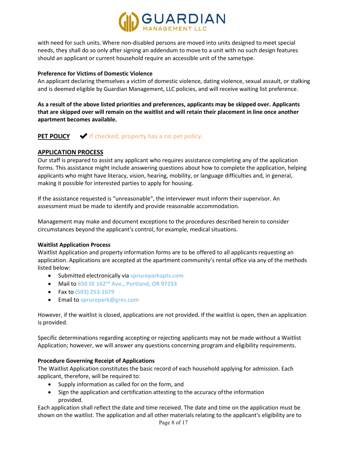

with need for such units. Where non-disabled persons are moved into units designed to meet special needs, they shall do so only after signing an addendum to move to a unit with no such design features should an applicant or current household require an accessible unit of the sametype.

#### **Preference for Victims of Domestic Violence**

An applicant declaring themselves a victim of domestic violence, dating violence, sexual assault, or stalking and is deemed eligible by Guardian Management, LLC policies, and will receive waiting list preference.

**As a result of the above listed priorities and preferences, applicants may be skipped over. Applicants that are skipped over will remain on the waitlist and will retain their placement in line once another apartment becomes available.**

# **PET POLICY** ✔**If checked, property has a no pet policy.**

## **APPLICATION PROCESS**

Our staff is prepared to assist any applicant who requires assistance completing any of the application forms. This assistance might include answering questions about how to complete the application, helping applicants who might have literacy, vision, hearing, mobility, or language difficulties and, in general, making it possible for interested parties to apply for housing.

If the assistance requested is "unreasonable", the interviewer must inform their supervisor. An assessment must be made to identify and provide reasonable accommodation.

Management may make and document exceptions to the procedures described herein to consider circumstances beyond the applicant's control, for example, medical situations.

#### **Waitlist Application Process**

Waitlist Application and property information forms are to be offered to all applicants requesting an application. Applications are accepted at the apartment community's rental office via any of the methods listed below:

- Submitted electronically via **spruceparkapts.com**
- Mail to **650 SE 162nd Ave., Portland, OR 97233**
- Fax to **(503) 253-1679**
- Email to **sprucepark@gres.com**

However, if the waitlist is closed, applications are not provided. If the waitlist is open, then an application is provided.

Specific determinations regarding accepting or rejecting applicants may not be made without a Waitlist Application; however, we will answer any questions concerning program and eligibility requirements.

#### **Procedure Governing Receipt of Applications**

The Waitlist Application constitutes the basic record of each household applying for admission. Each applicant, therefore, will be required to:

- Supply information as called for on the form, and
- Sign the application and certification attesting to the accuracy ofthe information provided.

Each application shall reflect the date and time received. The date and time on the application must be shown on the waitlist. The application and all other materials relating to the applicant's eligibility are to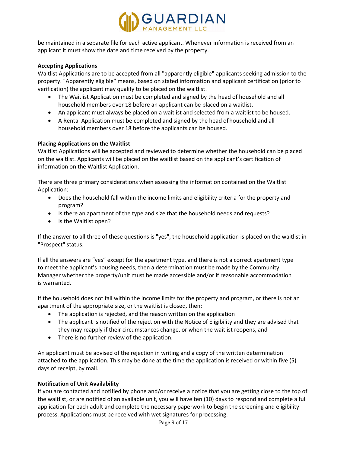

be maintained in a separate file for each active applicant. Whenever information is received from an applicant it must show the date and time received by the property.

#### **Accepting Applications**

Waitlist Applications are to be accepted from all "apparently eligible" applicants seeking admission to the property. "Apparently eligible" means, based on stated information and applicant certification (prior to verification) the applicant may qualify to be placed on the waitlist.

- The Waitlist Application must be completed and signed by the head of household and all household members over 18 before an applicant can be placed on a waitlist.
- An applicant must always be placed on a waitlist and selected from a waitlist to be housed.
- A Rental Application must be completed and signed by the head of household and all household members over 18 before the applicants can be housed.

#### **Placing Applications on the Waitlist**

Waitlist Applications will be accepted and reviewed to determine whether the household can be placed on the waitlist. Applicants will be placed on the waitlist based on the applicant's certification of information on the Waitlist Application.

There are three primary considerations when assessing the information contained on the Waitlist Application:

- Does the household fall within the income limits and eligibility criteria for the property and program?
- Is there an apartment of the type and size that the household needs and requests?
- Is the Waitlist open?

If the answer to all three of these questions is "yes", the household application is placed on the waitlist in "Prospect" status.

If all the answers are "yes" except for the apartment type, and there is not a correct apartment type to meet the applicant's housing needs, then a determination must be made by the Community Manager whether the property/unit must be made accessible and/or if reasonable accommodation is warranted.

If the household does not fall within the income limits for the property and program, or there is not an apartment of the appropriate size, or the waitlist is closed, then:

- The application is rejected, and the reason written on the application
- The applicant is notified of the rejection with the Notice of Eligibility and they are advised that they may reapply if their circumstances change, or when the waitlist reopens, and
- There is no further review of the application.

An applicant must be advised of the rejection in writing and a copy of the written determination attached to the application. This may be done at the time the application is received or within five (5) days of receipt, by mail.

# **Notification of Unit Availability**

If you are contacted and notified by phone and/or receive a notice that you are getting close to the top of the waitlist, or are notified of an available unit, you will have ten (10) days to respond and complete a full application for each adult and complete the necessary paperwork to begin the screening and eligibility process. Applications must be received with wet signatures for processing.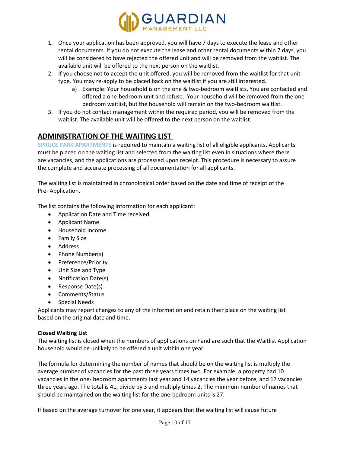

- 1. Once your application has been approved, you will have 7 days to execute the lease and other rental documents. If you do not execute the lease and other rental documents within 7 days, you will be considered to have rejected the offered unit and will be removed from the waitlist. The available unit will be offered to the next person on the waitlist.
- 2. If you choose not to accept the unit offered, you will be removed from the waitlist for that unit type. You may re-apply to be placed back on the waitlist if you are still interested.
	- a) Example: Your household is on the one & two-bedroom waitlists. You are contacted and offered a one-bedroom unit and refuse. Your household will be removed from the onebedroom waitlist, but the household will remain on the two-bedroom waitlist.
- 3. If you do not contact management within the required period, you will be removed from the waitlist. The available unit will be offered to the next person on the waitlist.

# **ADMINISTRATION OF THE WAITING LIST**

**SPRUCE PARK APARTMENTS** is required to maintain a waiting list of all eligible applicants. Applicants must be placed on the waiting list and selected from the waiting list even in situations where there are vacancies, and the applications are processed upon receipt. This procedure is necessary to assure the complete and accurate processing of all documentation for all applicants.

The waiting list is maintained in chronological order based on the date and time of receipt of the Pre- Application.

The list contains the following information for each applicant:

- Application Date and Time received
- Applicant Name
- Household Income
- Family Size
- Address
- Phone Number(s)
- Preference/Priority
- Unit Size and Type
- Notification Date(s)
- Response Date(s)
- Comments/Status
- Special Needs

Applicants may report changes to any of the information and retain their place on the waiting list based on the original date and time.

# **Closed Waiting List**

The waiting list is closed when the numbers of applications on hand are such that the Waitlist Application household would be unlikely to be offered a unit within one year.

The formula for determining the number of names that should be on the waiting list is multiply the average number of vacancies for the past three years times two. For example, a property had 10 vacancies in the one- bedroom apartments last year and 14 vacancies the year before, and 17 vacancies three years ago. The total is 41, divide by 3 and multiply times 2. The minimum number of names that should be maintained on the waiting list for the one-bedroom units is 27.

If based on the average turnover for one year, it appears that the waiting list will cause future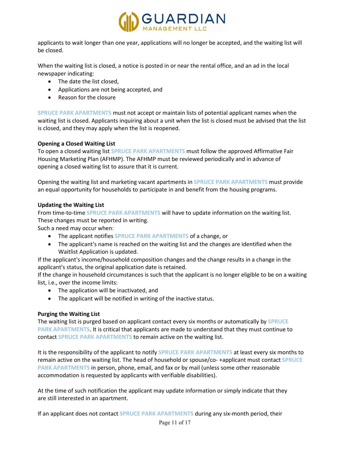

applicants to wait longer than one year, applications will no longer be accepted, and the waiting list will be closed.

When the waiting list is closed, a notice is posted in or near the rental office, and an ad in the local newspaper indicating:

- The date the list closed,
- Applications are not being accepted, and
- Reason for the closure

**SPRUCE PARK APARTMENTS** must not accept or maintain lists of potential applicant names when the waiting list is closed. Applicants inquiring about a unit when the list is closed must be advised that the list is closed, and they may apply when the list is reopened.

#### **Opening a Closed Waiting List**

To open a closed waiting list **SPRUCE PARK APARTMENTS** must follow the approved Affirmative Fair Housing Marketing Plan (AFHMP). The AFHMP must be reviewed periodically and in advance of opening a closed waiting list to assure that it is current.

Opening the waiting list and marketing vacant apartments in **SPRUCE PARK APARTMENTS** must provide an equal opportunity for households to participate in and benefit from the housing programs.

#### **Updating the Waiting List**

From time-to-time **SPRUCE PARK APARTMENTS** will have to update information on the waiting list. These changes must be reported in writing.

Such a need may occur when:

- The applicant notifies **SPRUCE PARK APARTMENTS** of a change, or
- The applicant's name is reached on the waiting list and the changes are identified when the Waitlist Application is updated.

If the applicant's income/household composition changes and the change results in a change in the applicant's status, the original application date is retained.

If the change in household circumstances is such that the applicant is no longer eligible to be on a waiting list, i.e., over the income limits:

- The application will be inactivated, and
- The applicant will be notified in writing of the inactive status.

#### **Purging the Waiting List**

The waiting list is purged based on applicant contact every six months or automatically by **SPRUCE PARK APARTMENTS**. It is critical that applicants are made to understand that they must continue to contact **SPRUCE PARK APARTMENTS** to remain active on the waiting list.

It is the responsibility of the applicant to notify **SPRUCE PARK APARTMENTS** at least every six months to remain active on the waiting list. The head of household or spouse/co- +applicant must contact **SPRUCE PARK APARTMENTS** in person, phone, email, and fax or by mail (unless some other reasonable accommodation is requested by applicants with verifiable disabilities).

At the time of such notification the applicant may update information or simply indicate that they are still interested in an apartment.

If an applicant does not contact **SPRUCE PARK APARTMENTS** during any six-month period, their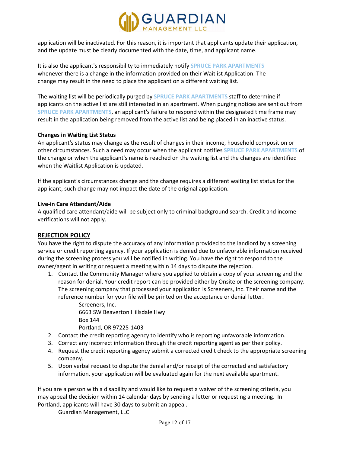

application will be inactivated. For this reason, it is important that applicants update their application, and the update must be clearly documented with the date, time, and applicant name.

It is also the applicant's responsibility to immediately notify **SPRUCE PARK APARTMENTS** whenever there is a change in the information provided on their Waitlist Application. The change may result in the need to place the applicant on a different waiting list.

The waiting list will be periodically purged by **SPRUCE PARK APARTMENTS** staff to determine if applicants on the active list are still interested in an apartment. When purging notices are sent out from **SPRUCE PARK APARTMENTS**, an applicant's failure to respond within the designated time frame may result in the application being removed from the active list and being placed in an inactive status.

#### **Changes in Waiting List Status**

An applicant's status may change as the result of changes in their income, household composition or other circumstances. Such a need may occur when the applicant notifies **SPRUCE PARK APARTMENTS** of the change or when the applicant's name is reached on the waiting list and the changes are identified when the Waitlist Application is updated.

If the applicant's circumstances change and the change requires a different waiting list status for the applicant, such change may not impact the date of the original application.

#### **Live-in Care Attendant/Aide**

A qualified care attendant/aide will be subject only to criminal background search. Credit and income verifications will not apply.

#### **REJECTION POLICY**

You have the right to dispute the accuracy of any information provided to the landlord by a screening service or credit reporting agency. If your application is denied due to unfavorable information received during the screening process you will be notified in writing. You have the right to respond to the owner/agent in writing or request a meeting within 14 days to dispute the rejection.

1. Contact the Community Manager where you applied to obtain a copy of your screening and the reason for denial. Your credit report can be provided either by Onsite or the screening company. The screening company that processed your application is Screeners, Inc. Their name and the reference number for your file will be printed on the acceptance or denial letter.

> Screeners, Inc. 6663 SW Beaverton Hillsdale Hwy Box 144 Portland, OR 97225-1403

- 2. Contact the credit reporting agency to identify who is reporting unfavorable information.
- 3. Correct any incorrect information through the credit reporting agent as per their policy.
- 4. Request the credit reporting agency submit a corrected credit check to the appropriate screening company.
- 5. Upon verbal request to dispute the denial and/or receipt of the corrected and satisfactory information, your application will be evaluated again for the next available apartment.

If you are a person with a disability and would like to request a waiver of the screening criteria, you may appeal the decision within 14 calendar days by sending a letter or requesting a meeting. In Portland, applicants will have 30 days to submit an appeal.

Guardian Management, LLC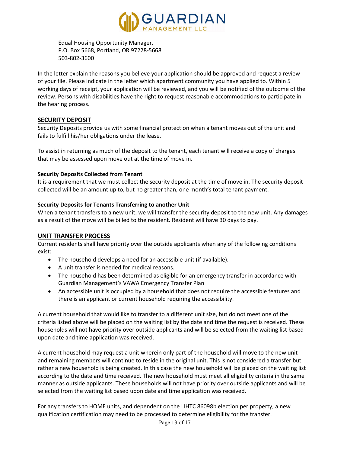

Equal Housing Opportunity Manager, P.O. Box 5668, Portland, OR 97228-5668 503-802-3600

In the letter explain the reasons you believe your application should be approved and request a review of your file. Please indicate in the letter which apartment community you have applied to. Within 5 working days of receipt, your application will be reviewed, and you will be notified of the outcome of the review. Persons with disabilities have the right to request reasonable accommodations to participate in the hearing process.

## **SECURITY DEPOSIT**

Security Deposits provide us with some financial protection when a tenant moves out of the unit and fails to fulfill his/her obligations under the lease.

To assist in returning as much of the deposit to the tenant, each tenant will receive a copy of charges that may be assessed upon move out at the time of move in.

#### **Security Deposits Collected from Tenant**

It is a requirement that we must collect the security deposit at the time of move in. The security deposit collected will be an amount up to, but no greater than, one month's total tenant payment.

#### **Security Deposits for Tenants Transferring to another Unit**

When a tenant transfers to a new unit, we will transfer the security deposit to the new unit. Any damages as a result of the move will be billed to the resident. Resident will have 30 days to pay.

#### **UNIT TRANSFER PROCESS**

Current residents shall have priority over the outside applicants when any of the following conditions exist:

- The household develops a need for an accessible unit (if available).
- A unit transfer is needed for medical reasons.
- The household has been determined as eligible for an emergency transfer in accordance with Guardian Management's VAWA Emergency Transfer Plan
- An accessible unit is occupied by a household that does not require the accessible features and there is an applicant or current household requiring the accessibility.

A current household that would like to transfer to a different unit size, but do not meet one of the criteria listed above will be placed on the waiting list by the date and time the request is received. These households will not have priority over outside applicants and will be selected from the waiting list based upon date and time application was received.

A current household may request a unit wherein only part of the household will move to the new unit and remaining members will continue to reside in the original unit. This is not considered a transfer but rather a new household is being created. In this case the new household will be placed on the waiting list according to the date and time received. The new household must meet all eligibility criteria in the same manner as outside applicants. These households will not have priority over outside applicants and will be selected from the waiting list based upon date and time application was received.

For any transfers to HOME units, and dependent on the LIHTC 86098b election per property, a new qualification certification may need to be processed to determine eligibility for the transfer.